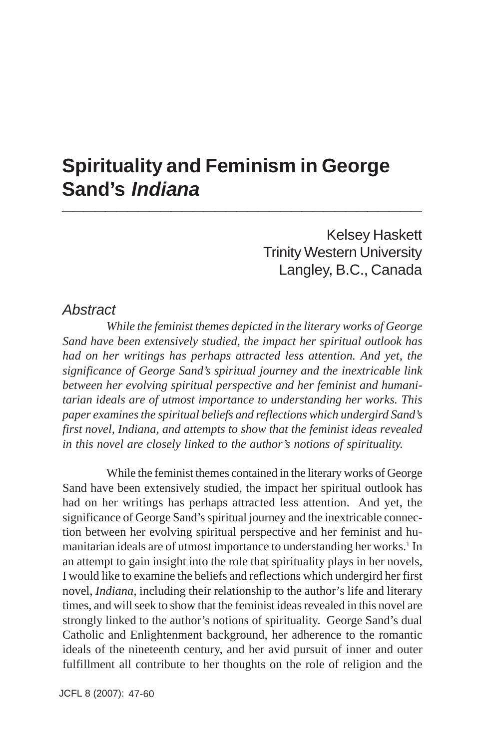# **Spirituality and Feminism in George Sand's** *Indiana* **\_\_\_\_\_\_\_\_\_\_\_\_\_\_\_\_\_\_\_\_\_\_\_\_\_\_\_\_\_\_\_\_\_**

Kelsey Haskett Trinity Western University Langley, B.C., Canada

### *Abstract*

*While the feminist themes depicted in the literary works of George Sand have been extensively studied, the impact her spiritual outlook has had on her writings has perhaps attracted less attention. And yet, the significance of George Sand's spiritual journey and the inextricable link between her evolving spiritual perspective and her feminist and humanitarian ideals are of utmost importance to understanding her works. This paper examines the spiritual beliefs and reflections which undergird Sand's first novel, Indiana, and attempts to show that the feminist ideas revealed in this novel are closely linked to the author's notions of spirituality.*

While the feminist themes contained in the literary works of George Sand have been extensively studied, the impact her spiritual outlook has had on her writings has perhaps attracted less attention. And yet, the significance of George Sand's spiritual journey and the inextricable connection between her evolving spiritual perspective and her feminist and humanitarian ideals are of utmost importance to understanding her works.<sup>1</sup> In an attempt to gain insight into the role that spirituality plays in her novels, I would like to examine the beliefs and reflections which undergird her first novel, *Indiana*, including their relationship to the author's life and literary times, and will seek to show that the feminist ideas revealed in this novel are strongly linked to the author's notions of spirituality. George Sand's dual Catholic and Enlightenment background, her adherence to the romantic ideals of the nineteenth century, and her avid pursuit of inner and outer fulfillment all contribute to her thoughts on the role of religion and the

JCFL 8 (2007): 47-60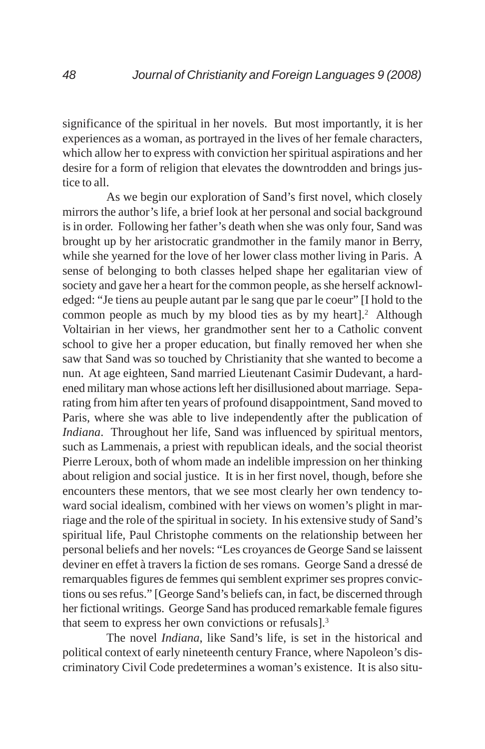significance of the spiritual in her novels. But most importantly, it is her experiences as a woman, as portrayed in the lives of her female characters, which allow her to express with conviction her spiritual aspirations and her desire for a form of religion that elevates the downtrodden and brings justice to all.

As we begin our exploration of Sand's first novel, which closely mirrors the author's life, a brief look at her personal and social background is in order. Following her father's death when she was only four, Sand was brought up by her aristocratic grandmother in the family manor in Berry, while she yearned for the love of her lower class mother living in Paris. A sense of belonging to both classes helped shape her egalitarian view of society and gave her a heart for the common people, as she herself acknowledged: "Je tiens au peuple autant par le sang que par le coeur" [I hold to the common people as much by my blood ties as by my heart].<sup>2</sup> Although Voltairian in her views, her grandmother sent her to a Catholic convent school to give her a proper education, but finally removed her when she saw that Sand was so touched by Christianity that she wanted to become a nun. At age eighteen, Sand married Lieutenant Casimir Dudevant, a hardened military man whose actions left her disillusioned about marriage. Separating from him after ten years of profound disappointment, Sand moved to Paris, where she was able to live independently after the publication of *Indiana*. Throughout her life, Sand was influenced by spiritual mentors, such as Lammenais, a priest with republican ideals, and the social theorist Pierre Leroux, both of whom made an indelible impression on her thinking about religion and social justice. It is in her first novel, though, before she encounters these mentors, that we see most clearly her own tendency toward social idealism, combined with her views on women's plight in marriage and the role of the spiritual in society. In his extensive study of Sand's spiritual life, Paul Christophe comments on the relationship between her personal beliefs and her novels: "Les croyances de George Sand se laissent deviner en effet à travers la fiction de ses romans. George Sand a dressé de remarquables figures de femmes qui semblent exprimer ses propres convictions ou ses refus." [George Sand's beliefs can, in fact, be discerned through her fictional writings. George Sand has produced remarkable female figures that seem to express her own convictions or refusals].3

The novel *Indiana*, like Sand's life, is set in the historical and political context of early nineteenth century France, where Napoleon's discriminatory Civil Code predetermines a woman's existence. It is also situ-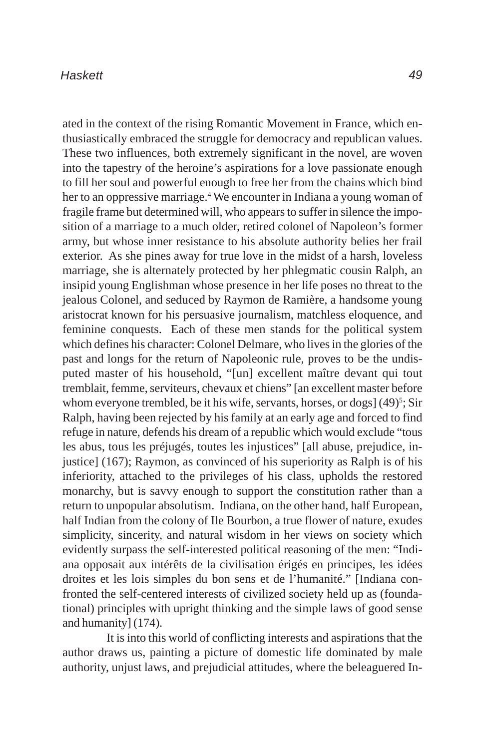ated in the context of the rising Romantic Movement in France, which enthusiastically embraced the struggle for democracy and republican values. These two influences, both extremely significant in the novel, are woven into the tapestry of the heroine's aspirations for a love passionate enough to fill her soul and powerful enough to free her from the chains which bind her to an oppressive marriage.<sup>4</sup> We encounter in Indiana a young woman of fragile frame but determined will, who appears to suffer in silence the imposition of a marriage to a much older, retired colonel of Napoleon's former army, but whose inner resistance to his absolute authority belies her frail exterior. As she pines away for true love in the midst of a harsh, loveless marriage, she is alternately protected by her phlegmatic cousin Ralph, an insipid young Englishman whose presence in her life poses no threat to the jealous Colonel, and seduced by Raymon de Ramière, a handsome young aristocrat known for his persuasive journalism, matchless eloquence, and feminine conquests. Each of these men stands for the political system which defines his character: Colonel Delmare, who lives in the glories of the past and longs for the return of Napoleonic rule, proves to be the undisputed master of his household, "[un] excellent maître devant qui tout tremblait, femme, serviteurs, chevaux et chiens" [an excellent master before whom everyone trembled, be it his wife, servants, horses, or dogs] (49)<sup>5</sup>; Sir Ralph, having been rejected by his family at an early age and forced to find refuge in nature, defends his dream of a republic which would exclude "tous les abus, tous les préjugés, toutes les injustices" [all abuse, prejudice, injustice] (167); Raymon, as convinced of his superiority as Ralph is of his inferiority, attached to the privileges of his class, upholds the restored monarchy, but is savvy enough to support the constitution rather than a return to unpopular absolutism. Indiana, on the other hand, half European, half Indian from the colony of Ile Bourbon, a true flower of nature, exudes simplicity, sincerity, and natural wisdom in her views on society which evidently surpass the self-interested political reasoning of the men: "Indiana opposait aux intérêts de la civilisation érigés en principes, les idées droites et les lois simples du bon sens et de l'humanité." [Indiana confronted the self-centered interests of civilized society held up as (foundational) principles with upright thinking and the simple laws of good sense and humanity] (174).

It is into this world of conflicting interests and aspirations that the author draws us, painting a picture of domestic life dominated by male authority, unjust laws, and prejudicial attitudes, where the beleaguered In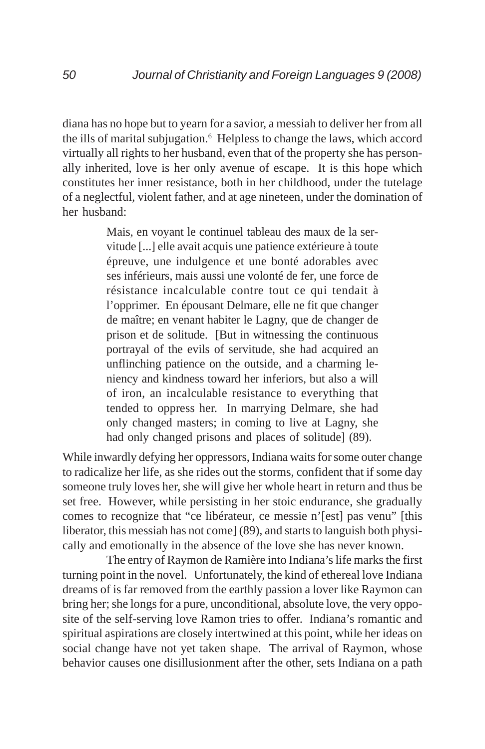diana has no hope but to yearn for a savior, a messiah to deliver her from all the ills of marital subjugation.<sup>6</sup> Helpless to change the laws, which accord virtually all rights to her husband, even that of the property she has personally inherited, love is her only avenue of escape. It is this hope which constitutes her inner resistance, both in her childhood, under the tutelage of a neglectful, violent father, and at age nineteen, under the domination of her husband:

> Mais, en voyant le continuel tableau des maux de la servitude [...] elle avait acquis une patience extérieure à toute épreuve, une indulgence et une bonté adorables avec ses inférieurs, mais aussi une volonté de fer, une force de résistance incalculable contre tout ce qui tendait à l'opprimer. En épousant Delmare, elle ne fit que changer de maître; en venant habiter le Lagny, que de changer de prison et de solitude. [But in witnessing the continuous portrayal of the evils of servitude, she had acquired an unflinching patience on the outside, and a charming leniency and kindness toward her inferiors, but also a will of iron, an incalculable resistance to everything that tended to oppress her. In marrying Delmare, she had only changed masters; in coming to live at Lagny, she had only changed prisons and places of solitude] (89).

While inwardly defying her oppressors, Indiana waits for some outer change to radicalize her life, as she rides out the storms, confident that if some day someone truly loves her, she will give her whole heart in return and thus be set free. However, while persisting in her stoic endurance, she gradually comes to recognize that "ce libérateur, ce messie n'[est] pas venu" [this liberator, this messiah has not come] (89), and starts to languish both physically and emotionally in the absence of the love she has never known.

The entry of Raymon de Ramière into Indiana's life marks the first turning point in the novel. Unfortunately, the kind of ethereal love Indiana dreams of is far removed from the earthly passion a lover like Raymon can bring her; she longs for a pure, unconditional, absolute love, the very opposite of the self-serving love Ramon tries to offer. Indiana's romantic and spiritual aspirations are closely intertwined at this point, while her ideas on social change have not yet taken shape. The arrival of Raymon, whose behavior causes one disillusionment after the other, sets Indiana on a path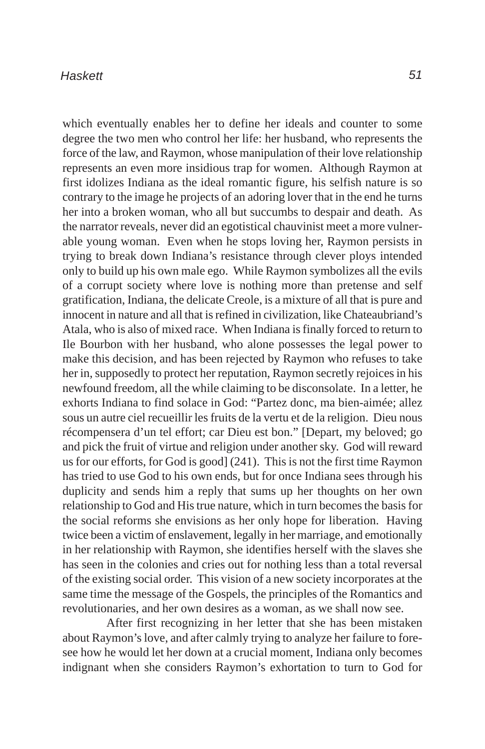which eventually enables her to define her ideals and counter to some degree the two men who control her life: her husband, who represents the force of the law, and Raymon, whose manipulation of their love relationship represents an even more insidious trap for women. Although Raymon at first idolizes Indiana as the ideal romantic figure, his selfish nature is so contrary to the image he projects of an adoring lover that in the end he turns her into a broken woman, who all but succumbs to despair and death. As the narrator reveals, never did an egotistical chauvinist meet a more vulnerable young woman. Even when he stops loving her, Raymon persists in trying to break down Indiana's resistance through clever ploys intended only to build up his own male ego. While Raymon symbolizes all the evils of a corrupt society where love is nothing more than pretense and self gratification, Indiana, the delicate Creole, is a mixture of all that is pure and innocent in nature and all that is refined in civilization, like Chateaubriand's Atala, who is also of mixed race. When Indiana is finally forced to return to Ile Bourbon with her husband, who alone possesses the legal power to make this decision, and has been rejected by Raymon who refuses to take her in, supposedly to protect her reputation, Raymon secretly rejoices in his newfound freedom, all the while claiming to be disconsolate. In a letter, he exhorts Indiana to find solace in God: "Partez donc, ma bien-aimée; allez sous un autre ciel recueillir les fruits de la vertu et de la religion. Dieu nous récompensera d'un tel effort; car Dieu est bon." [Depart, my beloved; go and pick the fruit of virtue and religion under another sky. God will reward us for our efforts, for God is good] (241). This is not the first time Raymon has tried to use God to his own ends, but for once Indiana sees through his duplicity and sends him a reply that sums up her thoughts on her own relationship to God and His true nature, which in turn becomes the basis for the social reforms she envisions as her only hope for liberation. Having twice been a victim of enslavement, legally in her marriage, and emotionally in her relationship with Raymon, she identifies herself with the slaves she has seen in the colonies and cries out for nothing less than a total reversal of the existing social order. This vision of a new society incorporates at the same time the message of the Gospels, the principles of the Romantics and revolutionaries, and her own desires as a woman, as we shall now see.

After first recognizing in her letter that she has been mistaken about Raymon's love, and after calmly trying to analyze her failure to foresee how he would let her down at a crucial moment, Indiana only becomes indignant when she considers Raymon's exhortation to turn to God for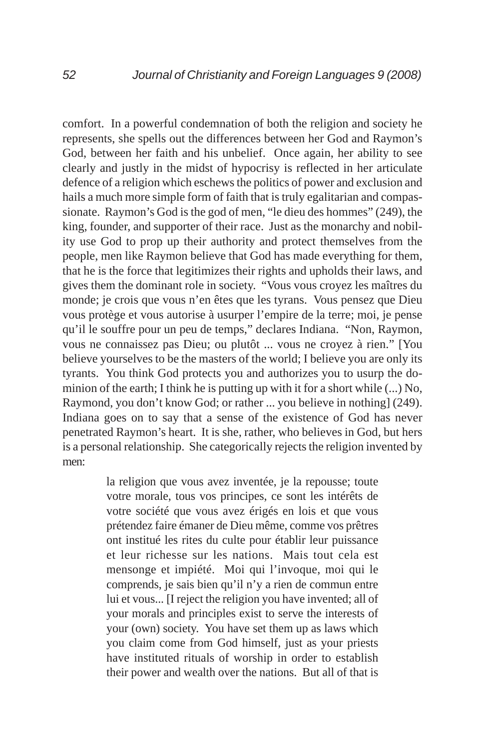comfort. In a powerful condemnation of both the religion and society he represents, she spells out the differences between her God and Raymon's God, between her faith and his unbelief. Once again, her ability to see clearly and justly in the midst of hypocrisy is reflected in her articulate defence of a religion which eschews the politics of power and exclusion and hails a much more simple form of faith that is truly egalitarian and compassionate. Raymon's God is the god of men, "le dieu des hommes" (249), the king, founder, and supporter of their race. Just as the monarchy and nobility use God to prop up their authority and protect themselves from the people, men like Raymon believe that God has made everything for them, that he is the force that legitimizes their rights and upholds their laws, and gives them the dominant role in society. "Vous vous croyez les maîtres du monde; je crois que vous n'en êtes que les tyrans. Vous pensez que Dieu vous protège et vous autorise à usurper l'empire de la terre; moi, je pense qu'il le souffre pour un peu de temps," declares Indiana. "Non, Raymon, vous ne connaissez pas Dieu; ou plutôt ... vous ne croyez à rien." [You believe yourselves to be the masters of the world; I believe you are only its tyrants. You think God protects you and authorizes you to usurp the dominion of the earth; I think he is putting up with it for a short while (...) No, Raymond, you don't know God; or rather ... you believe in nothing] (249). Indiana goes on to say that a sense of the existence of God has never penetrated Raymon's heart. It is she, rather, who believes in God, but hers is a personal relationship. She categorically rejects the religion invented by men:

> la religion que vous avez inventée, je la repousse; toute votre morale, tous vos principes, ce sont les intérêts de votre société que vous avez érigés en lois et que vous prétendez faire émaner de Dieu même, comme vos prêtres ont institué les rites du culte pour établir leur puissance et leur richesse sur les nations. Mais tout cela est mensonge et impiété. Moi qui l'invoque, moi qui le comprends, je sais bien qu'il n'y a rien de commun entre lui et vous... [I reject the religion you have invented; all of your morals and principles exist to serve the interests of your (own) society. You have set them up as laws which you claim come from God himself, just as your priests have instituted rituals of worship in order to establish their power and wealth over the nations. But all of that is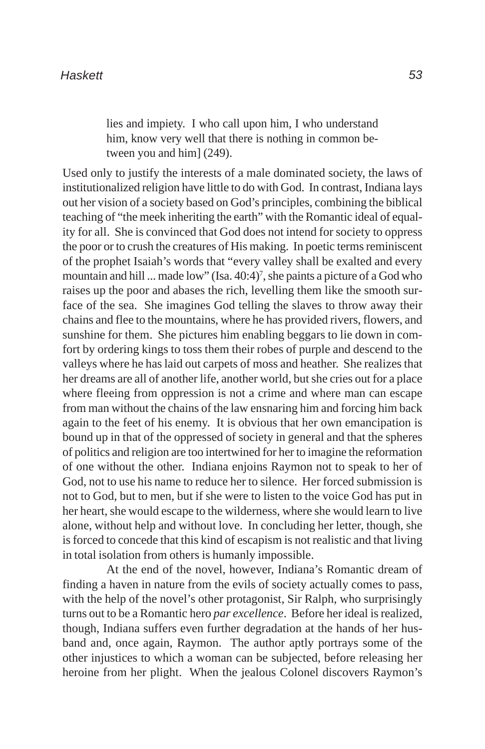lies and impiety. I who call upon him, I who understand him, know very well that there is nothing in common between you and him] (249).

Used only to justify the interests of a male dominated society, the laws of institutionalized religion have little to do with God. In contrast, Indiana lays out her vision of a society based on God's principles, combining the biblical teaching of "the meek inheriting the earth" with the Romantic ideal of equality for all. She is convinced that God does not intend for society to oppress the poor or to crush the creatures of His making. In poetic terms reminiscent of the prophet Isaiah's words that "every valley shall be exalted and every mountain and hill ... made low" (Isa. 40:4)<sup>7</sup>, she paints a picture of a God who raises up the poor and abases the rich, levelling them like the smooth surface of the sea. She imagines God telling the slaves to throw away their chains and flee to the mountains, where he has provided rivers, flowers, and sunshine for them. She pictures him enabling beggars to lie down in comfort by ordering kings to toss them their robes of purple and descend to the valleys where he has laid out carpets of moss and heather. She realizes that her dreams are all of another life, another world, but she cries out for a place where fleeing from oppression is not a crime and where man can escape from man without the chains of the law ensnaring him and forcing him back again to the feet of his enemy. It is obvious that her own emancipation is bound up in that of the oppressed of society in general and that the spheres of politics and religion are too intertwined for her to imagine the reformation of one without the other. Indiana enjoins Raymon not to speak to her of God, not to use his name to reduce her to silence. Her forced submission is not to God, but to men, but if she were to listen to the voice God has put in her heart, she would escape to the wilderness, where she would learn to live alone, without help and without love. In concluding her letter, though, she is forced to concede that this kind of escapism is not realistic and that living in total isolation from others is humanly impossible.

At the end of the novel, however, Indiana's Romantic dream of finding a haven in nature from the evils of society actually comes to pass, with the help of the novel's other protagonist, Sir Ralph, who surprisingly turns out to be a Romantic hero *par excellence*. Before her ideal is realized, though, Indiana suffers even further degradation at the hands of her husband and, once again, Raymon. The author aptly portrays some of the other injustices to which a woman can be subjected, before releasing her heroine from her plight. When the jealous Colonel discovers Raymon's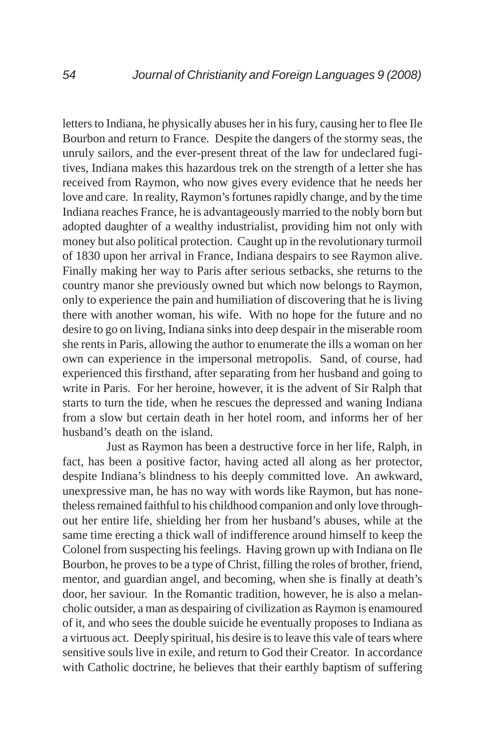letters to Indiana, he physically abuses her in his fury, causing her to flee Ile Bourbon and return to France. Despite the dangers of the stormy seas, the unruly sailors, and the ever-present threat of the law for undeclared fugitives, Indiana makes this hazardous trek on the strength of a letter she has received from Raymon, who now gives every evidence that he needs her love and care. In reality, Raymon's fortunes rapidly change, and by the time Indiana reaches France, he is advantageously married to the nobly born but adopted daughter of a wealthy industrialist, providing him not only with money but also political protection. Caught up in the revolutionary turmoil of 1830 upon her arrival in France, Indiana despairs to see Raymon alive. Finally making her way to Paris after serious setbacks, she returns to the country manor she previously owned but which now belongs to Raymon, only to experience the pain and humiliation of discovering that he is living there with another woman, his wife. With no hope for the future and no desire to go on living, Indiana sinks into deep despair in the miserable room she rents in Paris, allowing the author to enumerate the ills a woman on her own can experience in the impersonal metropolis. Sand, of course, had experienced this firsthand, after separating from her husband and going to write in Paris. For her heroine, however, it is the advent of Sir Ralph that starts to turn the tide, when he rescues the depressed and waning Indiana from a slow but certain death in her hotel room, and informs her of her husband's death on the island.

Just as Raymon has been a destructive force in her life, Ralph, in fact, has been a positive factor, having acted all along as her protector, despite Indiana's blindness to his deeply committed love. An awkward, unexpressive man, he has no way with words like Raymon, but has nonetheless remained faithful to his childhood companion and only love throughout her entire life, shielding her from her husband's abuses, while at the same time erecting a thick wall of indifference around himself to keep the Colonel from suspecting his feelings. Having grown up with Indiana on Ile Bourbon, he proves to be a type of Christ, filling the roles of brother, friend, mentor, and guardian angel, and becoming, when she is finally at death's door, her saviour. In the Romantic tradition, however, he is also a melancholic outsider, a man as despairing of civilization as Raymon is enamoured of it, and who sees the double suicide he eventually proposes to Indiana as a virtuous act. Deeply spiritual, his desire is to leave this vale of tears where sensitive souls live in exile, and return to God their Creator. In accordance with Catholic doctrine, he believes that their earthly baptism of suffering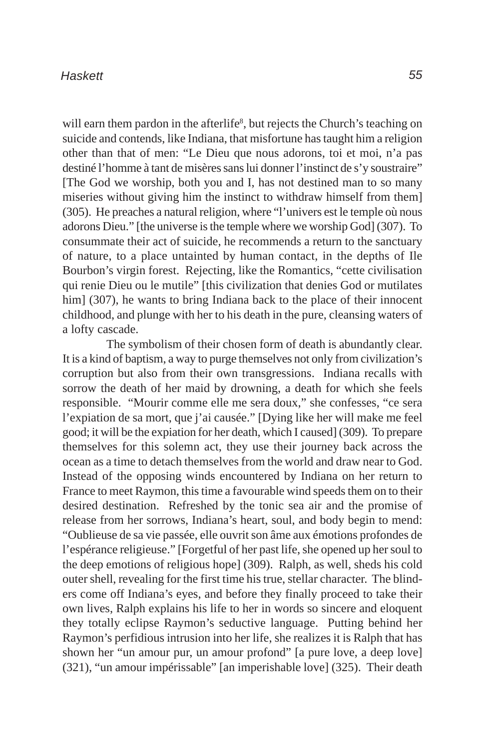will earn them pardon in the afterlife<sup>8</sup>, but rejects the Church's teaching on suicide and contends, like Indiana, that misfortune has taught him a religion other than that of men: "Le Dieu que nous adorons, toi et moi, n'a pas destiné l'homme à tant de misères sans lui donner l'instinct de s'y soustraire" [The God we worship, both you and I, has not destined man to so many miseries without giving him the instinct to withdraw himself from them] (305). He preaches a natural religion, where "l'univers est le temple où nous adorons Dieu." [the universe is the temple where we worship God] (307). To consummate their act of suicide, he recommends a return to the sanctuary of nature, to a place untainted by human contact, in the depths of Ile Bourbon's virgin forest. Rejecting, like the Romantics, "cette civilisation qui renie Dieu ou le mutile" [this civilization that denies God or mutilates him] (307), he wants to bring Indiana back to the place of their innocent childhood, and plunge with her to his death in the pure, cleansing waters of a lofty cascade.

The symbolism of their chosen form of death is abundantly clear. It is a kind of baptism, a way to purge themselves not only from civilization's corruption but also from their own transgressions. Indiana recalls with sorrow the death of her maid by drowning, a death for which she feels responsible. "Mourir comme elle me sera doux," she confesses, "ce sera l'expiation de sa mort, que j'ai causée." [Dying like her will make me feel good; it will be the expiation for her death, which I caused] (309). To prepare themselves for this solemn act, they use their journey back across the ocean as a time to detach themselves from the world and draw near to God. Instead of the opposing winds encountered by Indiana on her return to France to meet Raymon, this time a favourable wind speeds them on to their desired destination. Refreshed by the tonic sea air and the promise of release from her sorrows, Indiana's heart, soul, and body begin to mend: "Oublieuse de sa vie passée, elle ouvrit son âme aux émotions profondes de l'espérance religieuse." [Forgetful of her past life, she opened up her soul to the deep emotions of religious hope] (309). Ralph, as well, sheds his cold outer shell, revealing for the first time his true, stellar character. The blinders come off Indiana's eyes, and before they finally proceed to take their own lives, Ralph explains his life to her in words so sincere and eloquent they totally eclipse Raymon's seductive language. Putting behind her Raymon's perfidious intrusion into her life, she realizes it is Ralph that has shown her "un amour pur, un amour profond" [a pure love, a deep love] (321), "un amour impérissable" [an imperishable love] (325). Their death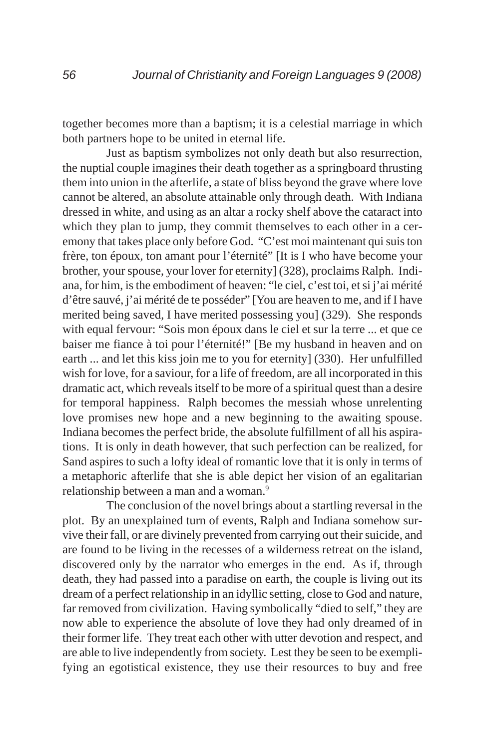together becomes more than a baptism; it is a celestial marriage in which both partners hope to be united in eternal life.

Just as baptism symbolizes not only death but also resurrection, the nuptial couple imagines their death together as a springboard thrusting them into union in the afterlife, a state of bliss beyond the grave where love cannot be altered, an absolute attainable only through death. With Indiana dressed in white, and using as an altar a rocky shelf above the cataract into which they plan to jump, they commit themselves to each other in a ceremony that takes place only before God. "C'est moi maintenant qui suis ton frère, ton époux, ton amant pour l'éternité" [It is I who have become your brother, your spouse, your lover for eternity] (328), proclaims Ralph. Indiana, for him, is the embodiment of heaven: "le ciel, c'est toi, et si j'ai mérité d'être sauvé, j'ai mérité de te posséder" [You are heaven to me, and if I have merited being saved, I have merited possessing you] (329). She responds with equal fervour: "Sois mon époux dans le ciel et sur la terre ... et que ce baiser me fiance à toi pour l'éternité!" [Be my husband in heaven and on earth ... and let this kiss join me to you for eternity] (330). Her unfulfilled wish for love, for a saviour, for a life of freedom, are all incorporated in this dramatic act, which reveals itself to be more of a spiritual quest than a desire for temporal happiness. Ralph becomes the messiah whose unrelenting love promises new hope and a new beginning to the awaiting spouse. Indiana becomes the perfect bride, the absolute fulfillment of all his aspirations. It is only in death however, that such perfection can be realized, for Sand aspires to such a lofty ideal of romantic love that it is only in terms of a metaphoric afterlife that she is able depict her vision of an egalitarian relationship between a man and a woman.<sup>9</sup>

The conclusion of the novel brings about a startling reversal in the plot. By an unexplained turn of events, Ralph and Indiana somehow survive their fall, or are divinely prevented from carrying out their suicide, and are found to be living in the recesses of a wilderness retreat on the island, discovered only by the narrator who emerges in the end. As if, through death, they had passed into a paradise on earth, the couple is living out its dream of a perfect relationship in an idyllic setting, close to God and nature, far removed from civilization. Having symbolically "died to self," they are now able to experience the absolute of love they had only dreamed of in their former life. They treat each other with utter devotion and respect, and are able to live independently from society. Lest they be seen to be exemplifying an egotistical existence, they use their resources to buy and free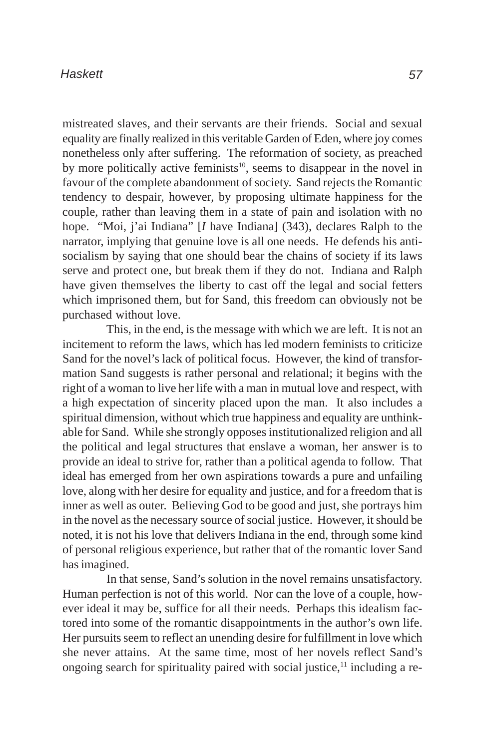mistreated slaves, and their servants are their friends. Social and sexual equality are finally realized in this veritable Garden of Eden, where joy comes nonetheless only after suffering. The reformation of society, as preached by more politically active feminists<sup>10</sup>, seems to disappear in the novel in favour of the complete abandonment of society. Sand rejects the Romantic tendency to despair, however, by proposing ultimate happiness for the couple, rather than leaving them in a state of pain and isolation with no hope. "Moi, j'ai Indiana" [*I* have Indiana] (343), declares Ralph to the narrator, implying that genuine love is all one needs. He defends his antisocialism by saying that one should bear the chains of society if its laws serve and protect one, but break them if they do not. Indiana and Ralph have given themselves the liberty to cast off the legal and social fetters which imprisoned them, but for Sand, this freedom can obviously not be purchased without love.

This, in the end, is the message with which we are left. It is not an incitement to reform the laws, which has led modern feminists to criticize Sand for the novel's lack of political focus. However, the kind of transformation Sand suggests is rather personal and relational; it begins with the right of a woman to live her life with a man in mutual love and respect, with a high expectation of sincerity placed upon the man. It also includes a spiritual dimension, without which true happiness and equality are unthinkable for Sand. While she strongly opposes institutionalized religion and all the political and legal structures that enslave a woman, her answer is to provide an ideal to strive for, rather than a political agenda to follow. That ideal has emerged from her own aspirations towards a pure and unfailing love, along with her desire for equality and justice, and for a freedom that is inner as well as outer. Believing God to be good and just, she portrays him in the novel as the necessary source of social justice. However, it should be noted, it is not his love that delivers Indiana in the end, through some kind of personal religious experience, but rather that of the romantic lover Sand has imagined.

In that sense, Sand's solution in the novel remains unsatisfactory. Human perfection is not of this world. Nor can the love of a couple, however ideal it may be, suffice for all their needs. Perhaps this idealism factored into some of the romantic disappointments in the author's own life. Her pursuits seem to reflect an unending desire for fulfillment in love which she never attains. At the same time, most of her novels reflect Sand's ongoing search for spirituality paired with social justice,<sup>11</sup> including a re-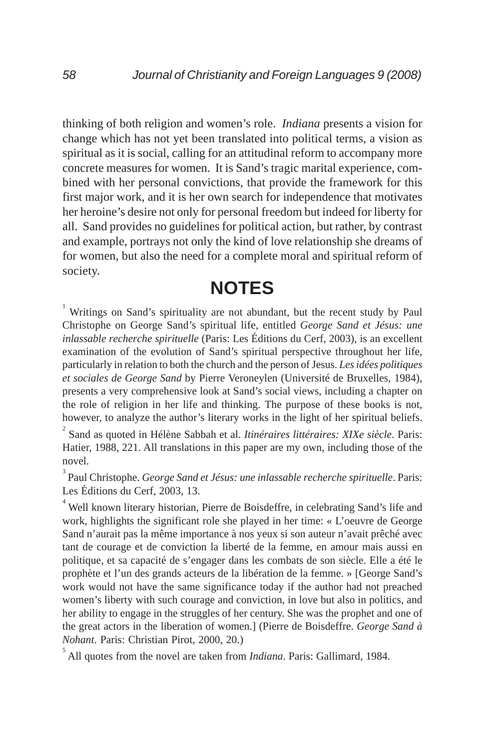thinking of both religion and women's role. *Indiana* presents a vision for change which has not yet been translated into political terms, a vision as spiritual as it is social, calling for an attitudinal reform to accompany more concrete measures for women. It is Sand's tragic marital experience, combined with her personal convictions, that provide the framework for this first major work, and it is her own search for independence that motivates her heroine's desire not only for personal freedom but indeed for liberty for all. Sand provides no guidelines for political action, but rather, by contrast and example, portrays not only the kind of love relationship she dreams of for women, but also the need for a complete moral and spiritual reform of society.

## **NOTES**

<sup>1</sup> Writings on Sand's spirituality are not abundant, but the recent study by Paul Christophe on George Sand's spiritual life, entitled *George Sand et Jésus: une inlassable recherche spirituelle* (Paris: Les Éditions du Cerf, 2003), is an excellent examination of the evolution of Sand's spiritual perspective throughout her life, particularly in relation to both the church and the person of Jesus. *Les idées politiques et sociales de George Sand* by Pierre Veroneylen (Université de Bruxelles, 1984), presents a very comprehensive look at Sand's social views, including a chapter on the role of religion in her life and thinking. The purpose of these books is not, however, to analyze the author's literary works in the light of her spiritual beliefs.

2 Sand as quoted in Hélène Sabbah et al. *Itinéraires littéraires: XIXe siècle*. Paris: Hatier, 1988, 221. All translations in this paper are my own, including those of the novel.

3 Paul Christophe. *George Sand et Jésus: une inlassable recherche spirituelle*. Paris: Les Éditions du Cerf, 2003, 13.

<sup>4</sup> Well known literary historian, Pierre de Boisdeffre, in celebrating Sand's life and work, highlights the significant role she played in her time: « L'oeuvre de George Sand n'aurait pas la même importance à nos yeux si son auteur n'avait prêché avec tant de courage et de conviction la liberté de la femme, en amour mais aussi en politique, et sa capacité de s'engager dans les combats de son siècle. Elle a été le prophète et l'un des grands acteurs de la libération de la femme. » [George Sand's work would not have the same significance today if the author had not preached women's liberty with such courage and conviction, in love but also in politics, and her ability to engage in the struggles of her century. She was the prophet and one of the great actors in the liberation of women.] (Pierre de Boisdeffre. *George Sand à Nohant*. Paris: Christian Pirot, 2000, 20.)

5 All quotes from the novel are taken from *Indiana*. Paris: Gallimard, 1984.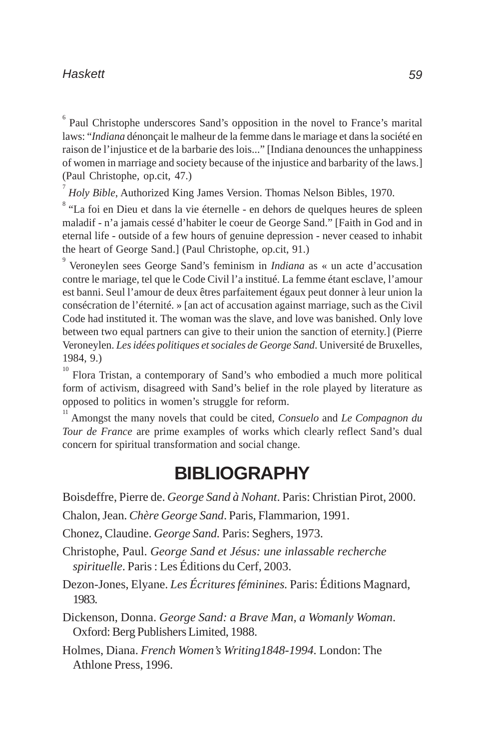<sup>6</sup> Paul Christophe underscores Sand's opposition in the novel to France's marital laws: "*Indiana* dénonçait le malheur de la femme dans le mariage et dans la société en raison de l'injustice et de la barbarie des lois..." [Indiana denounces the unhappiness of women in marriage and society because of the injustice and barbarity of the laws.] (Paul Christophe, op.cit, 47.)

7 *Holy Bible*, Authorized King James Version. Thomas Nelson Bibles, 1970.

<sup>8</sup> "La foi en Dieu et dans la vie éternelle - en dehors de quelques heures de spleen maladif - n'a jamais cessé d'habiter le coeur de George Sand." [Faith in God and in eternal life - outside of a few hours of genuine depression - never ceased to inhabit the heart of George Sand.] (Paul Christophe, op.cit, 91.)

9 Veroneylen sees George Sand's feminism in *Indiana* as « un acte d'accusation contre le mariage, tel que le Code Civil l'a institué. La femme étant esclave, l'amour est banni. Seul l'amour de deux êtres parfaitement égaux peut donner à leur union la consécration de l'éternité. » [an act of accusation against marriage, such as the Civil Code had instituted it. The woman was the slave, and love was banished. Only love between two equal partners can give to their union the sanction of eternity.] (Pierre Veroneylen. *Les idées politiques et sociales de George Sand*. Université de Bruxelles, 1984, 9.)

 $10<sup>10</sup>$  Flora Tristan, a contemporary of Sand's who embodied a much more political form of activism, disagreed with Sand's belief in the role played by literature as opposed to politics in women's struggle for reform.

<sup>11</sup> Amongst the many novels that could be cited, *Consuelo* and *Le Compagnon du Tour de France* are prime examples of works which clearly reflect Sand's dual concern for spiritual transformation and social change.

## **BIBLIOGRAPHY**

Boisdeffre, Pierre de. *George Sand à Nohant*. Paris: Christian Pirot, 2000.

Chalon, Jean. *Chère George Sand*. Paris, Flammarion, 1991.

Chonez, Claudine. *George Sand.* Paris: Seghers, 1973.

Christophe, Paul. *George Sand et Jésus: une inlassable recherche spirituelle*. Paris : Les Éditions du Cerf, 2003.

Dezon-Jones, Elyane. *Les Écritures féminines.* Paris: Éditions Magnard, 1983.

Dickenson, Donna. *George Sand: a Brave Man, a Womanly Woman*. Oxford: Berg Publishers Limited, 1988.

Holmes, Diana. *French Women's Writing1848-1994.* London: The Athlone Press, 1996.